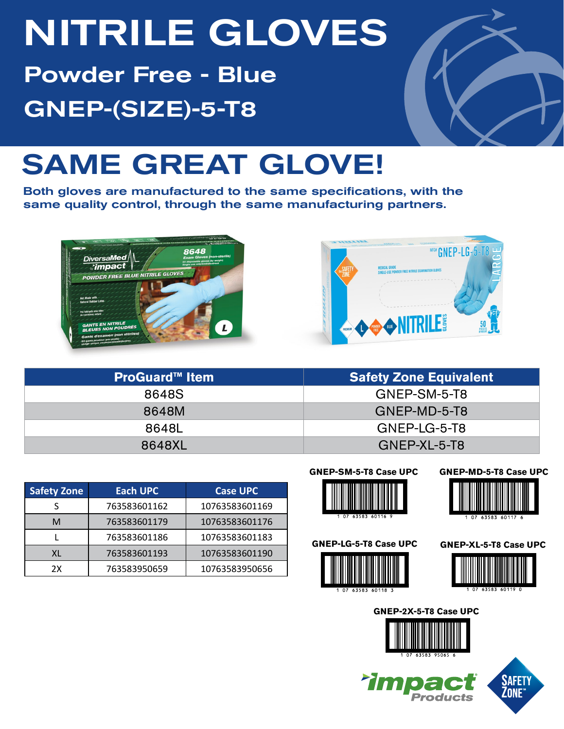# NITRILE GLOVES

Powder Free - Blue GNEP-(SIZE)-5-T8

## SAME GREAT GLOVE!

Both gloves are manufactured to the same specifications, with the same quality control, through the same manufacturing partners.





| <b>ProGuard™ Item</b> | <b>Safety Zone Equivalent</b> |  |  |  |  |
|-----------------------|-------------------------------|--|--|--|--|
| 8648S                 | GNEP-SM-5-T8                  |  |  |  |  |
| 8648M                 | GNEP-MD-5-T8                  |  |  |  |  |
| 8648L                 | GNEP-LG-5-T8                  |  |  |  |  |
| 8648XL                | GNEP-XL-5-T8                  |  |  |  |  |

| <b>Safety Zone</b> | <b>Each UPC</b> | <b>Case UPC</b> |
|--------------------|-----------------|-----------------|
|                    | 763583601162    | 10763583601169  |
| м                  | 763583601179    | 10763583601176  |
|                    | 763583601186    | 10763583601183  |
| XL                 | 763583601193    | 10763583601190  |
| 2X                 | 763583950659    | 10763583950656  |





### **GNEP-LG-5-T8 Case UPC**



**Tim** 

#### **GNEP-MD-5-T8 Case UPC**



#### **GNEP-XL-5-T8 Case UPC**



**GNEP-2X-5-T8 Case UPC**